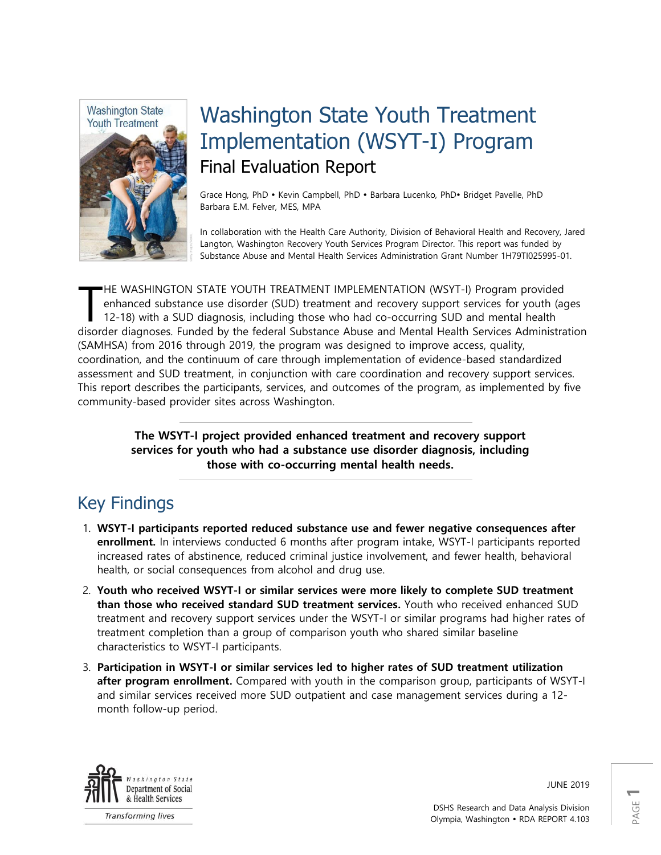

# Washington State Youth Treatment Implementation (WSYT-I) Program Final Evaluation Report

Grace Hong, PhD · Kevin Campbell, PhD · Barbara Lucenko, PhD· Bridget Pavelle, PhD Barbara E.M. Felver, MES, MPA

In collaboration with the Health Care Authority, Division of Behavioral Health and Recovery, Jared Langton, Washington Recovery Youth Services Program Director. This report was funded by Substance Abuse and Mental Health Services Administration Grant Number 1H79TI025995-01.

HE WASHINGTON STATE YOUTH TREATMENT IMPLEMENTATION (WSYT-I) Program provided enhanced substance use disorder (SUD) treatment and recovery support services for youth (ages 12-18) with a SUD diagnosis, including those who had co-occurring SUD and mental health disorder diagnoses. Funded by the federal Substance Abuse and Mental Health Services Administration (SAMHSA) from 2016 through 2019, the program was designed to improve access, quality, coordination, and the continuum of care through implementation of evidence-based standardized assessment and SUD treatment, in conjunction with care coordination and recovery support services. This report describes the participants, services, and outcomes of the program, as implemented by five community-based provider sites across Washington. T

> **The WSYT-I project provided enhanced treatment and recovery support services for youth who had a substance use disorder diagnosis, including those with co-occurring mental health needs.**

# Key Findings

- 1. **WSYT-I participants reported reduced substance use and fewer negative consequences after enrollment.** In interviews conducted 6 months after program intake, WSYT-I participants reported increased rates of abstinence, reduced criminal justice involvement, and fewer health, behavioral health, or social consequences from alcohol and drug use.
- 2. **Youth who received WSYT-I or similar services were more likely to complete SUD treatment than those who received standard SUD treatment services.** Youth who received enhanced SUD treatment and recovery support services under the WSYT-I or similar programs had higher rates of treatment completion than a group of comparison youth who shared similar baseline characteristics to WSYT-I participants.
- 3. **Participation in WSYT-I or similar services led to higher rates of SUD treatment utilization after program enrollment.** Compared with youth in the comparison group, participants of WSYT-I and similar services received more SUD outpatient and case management services during a 12 month follow-up period.



**Transforming lives** 

JUNE 2019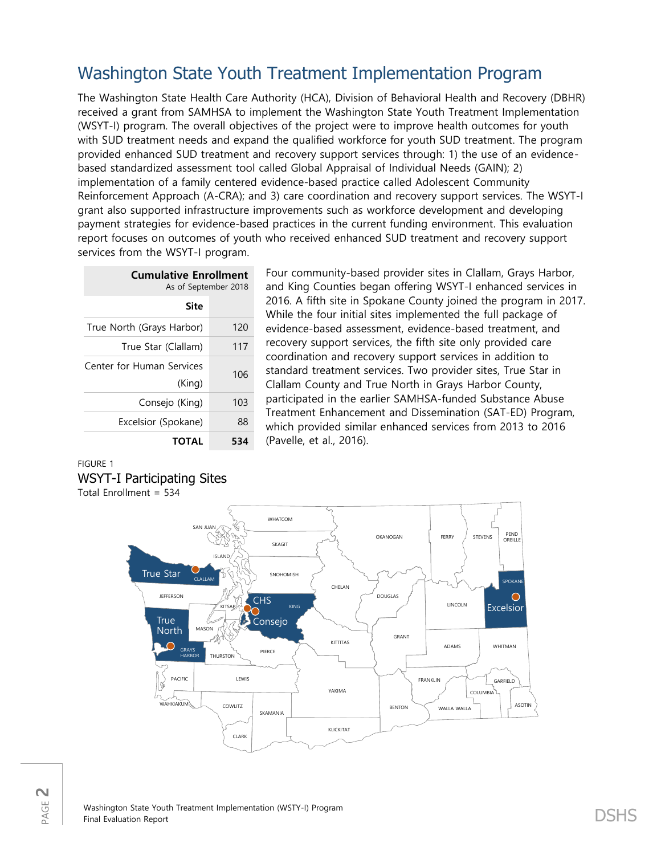# Washington State Youth Treatment Implementation Program

The Washington State Health Care Authority (HCA), Division of Behavioral Health and Recovery (DBHR) received a grant from SAMHSA to implement the Washington State Youth Treatment Implementation (WSYT-I) program. The overall objectives of the project were to improve health outcomes for youth with SUD treatment needs and expand the qualified workforce for youth SUD treatment. The program provided enhanced SUD treatment and recovery support services through: 1) the use of an evidencebased standardized assessment tool called Global Appraisal of Individual Needs (GAIN); 2) implementation of a family centered evidence-based practice called Adolescent Community Reinforcement Approach (A-CRA); and 3) care coordination and recovery support services. The WSYT-I grant also supported infrastructure improvements such as workforce development and developing payment strategies for evidence-based practices in the current funding environment. This evaluation report focuses on outcomes of youth who received enhanced SUD treatment and recovery support services from the WSYT-I program.

| <b>Cumulative Enrollment</b><br>As of September 2018 |     |  |
|------------------------------------------------------|-----|--|
| Site                                                 |     |  |
| True North (Grays Harbor)                            | 120 |  |
| True Star (Clallam)                                  | 117 |  |
| <b>Center for Human Services</b>                     | 106 |  |
| (King)                                               |     |  |
| Consejo (King)                                       | 103 |  |
| Excelsior (Spokane)                                  | 88  |  |
| TOTAL<br>534                                         |     |  |

Four community-based provider sites in Clallam, Grays Harbor, and King Counties began offering WSYT-I enhanced services in 2016. A fifth site in Spokane County joined the program in 2017. While the four initial sites implemented the full package of evidence-based assessment, evidence-based treatment, and recovery support services, the fifth site only provided care coordination and recovery support services in addition to standard treatment services. Two provider sites, True Star in Clallam County and True North in Grays Harbor County, participated in the earlier SAMHSA-funded Substance Abuse Treatment Enhancement and Dissemination (SAT-ED) Program, which provided similar enhanced services from 2013 to 2016 (Pavelle, et al., 2016).

### FIGURE 1 WSYT-I Participating Sites Total Enrollment = 534



PAGE **2**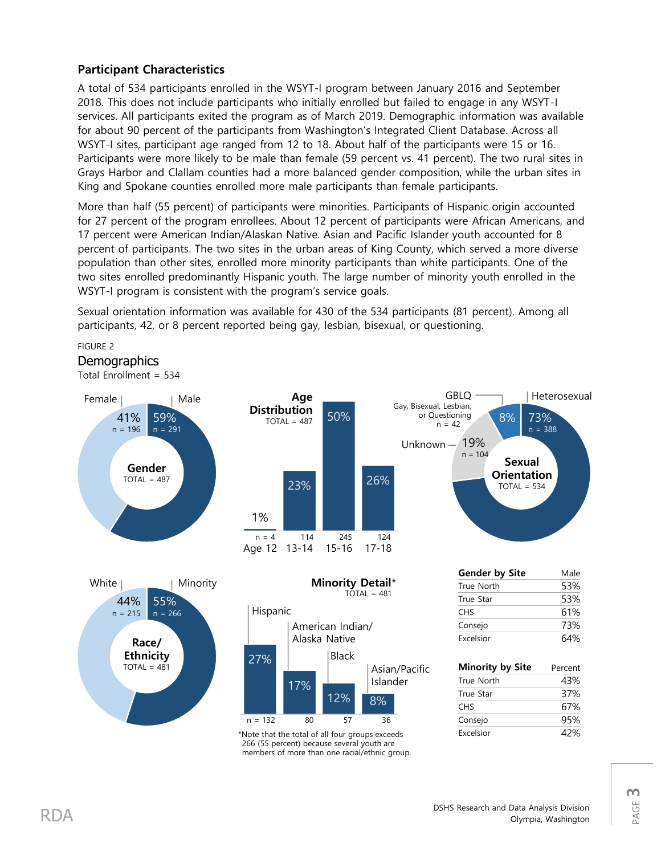# **Participant Characteristics**

A total of 534 participants enrolled in the WSYT-I program between January 2016 and September 2018. This does not include participants who initially enrolled but failed to engage in any WSYT-I services. All participants exited the program as of March 2019. Demographic information was available for about 90 percent of the participants from Washington's Integrated Client Database. Across all WSYT-I sites, participant age ranged from 12 to 18. About half of the participants were 15 or 16. Participants were more likely to be male than female (59 percent vs. 41 percent). The two rural sites in Grays Harbor and Clallam counties had a more balanced gender composition, while the urban sites in King and Spokane counties enrolled more male participants than female participants.

More than half (55 percent) of participants were minorities. Participants of Hispanic origin accounted for 27 percent of the program enrollees. About 12 percent of participants were African Americans, and 17 percent were American Indian/Alaskan Native. Asian and Pacific Islander youth accounted for 8 percent of participants. The two sites in the urban areas of King County, which served a more diverse population than other sites, enrolled more minority participants than white participants. One of the two sites enrolled predominantly Hispanic youth. The large number of minority youth enrolled in the WSYT-I program is consistent with the program's service goals.

Sexual orientation information was available for 430 of the 534 participants (81 percent). Among all participants, 42, or 8 percent reported being gay, lesbian, bisexual, or questioning.

FIGURE 2

## **Demographics**

Total Enrollment = 534



\*Note that the total of all four groups exceeds 266 (55 percent) because several youth are members of more than one racial/ethnic group.

n = 132 80 57 36

True Star 37% CHS 67% Consejo 95% Excelsior 42%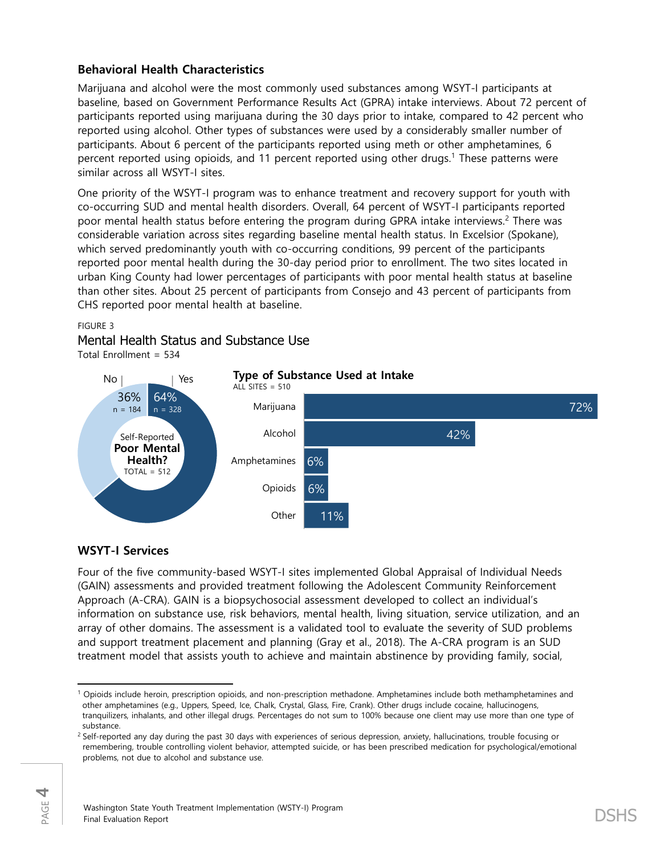## **Behavioral Health Characteristics**

Marijuana and alcohol were the most commonly used substances among WSYT-I participants at baseline, based on Government Performance Results Act (GPRA) intake interviews. About 72 percent of participants reported using marijuana during the 30 days prior to intake, compared to 42 percent who reported using alcohol. Other types of substances were used by a considerably smaller number of participants. About 6 percent of the participants reported using meth or other amphetamines, 6 percent reported using opioids, and 11 percent reported using other drugs.<sup>1</sup> These patterns were similar across all WSYT-I sites.

One priority of the WSYT-I program was to enhance treatment and recovery support for youth with co-occurring SUD and mental health disorders. Overall, 64 percent of WSYT-I participants reported poor mental health status before entering the program during GPRA intake interviews. <sup>2</sup> There was considerable variation across sites regarding baseline mental health status. In Excelsior (Spokane), which served predominantly youth with co-occurring conditions, 99 percent of the participants reported poor mental health during the 30-day period prior to enrollment. The two sites located in urban King County had lower percentages of participants with poor mental health status at baseline than other sites. About 25 percent of participants from Consejo and 43 percent of participants from CHS reported poor mental health at baseline.

### FIGURE 3

## Mental Health Status and Substance Use

Total Enrollment = 534



### **WSYT-I Services**

Four of the five community-based WSYT-I sites implemented Global Appraisal of Individual Needs (GAIN) assessments and provided treatment following the Adolescent Community Reinforcement Approach (A-CRA). GAIN is a biopsychosocial assessment developed to collect an individual's information on substance use, risk behaviors, mental health, living situation, service utilization, and an array of other domains. The assessment is a validated tool to evaluate the severity of SUD problems and support treatment placement and planning (Gray et al., 2018). The A-CRA program is an SUD treatment model that assists youth to achieve and maintain abstinence by providing family, social,

l <sup>1</sup> Opioids include heroin, prescription opioids, and non-prescription methadone. Amphetamines include both methamphetamines and other amphetamines (e.g., Uppers, Speed, Ice, Chalk, Crystal, Glass, Fire, Crank). Other drugs include cocaine, hallucinogens, tranquilizers, inhalants, and other illegal drugs. Percentages do not sum to 100% because one client may use more than one type of substance.

<sup>&</sup>lt;sup>2</sup> Self-reported any day during the past 30 days with experiences of serious depression, anxiety, hallucinations, trouble focusing or remembering, trouble controlling violent behavior, attempted suicide, or has been prescribed medication for psychological/emotional problems, not due to alcohol and substance use.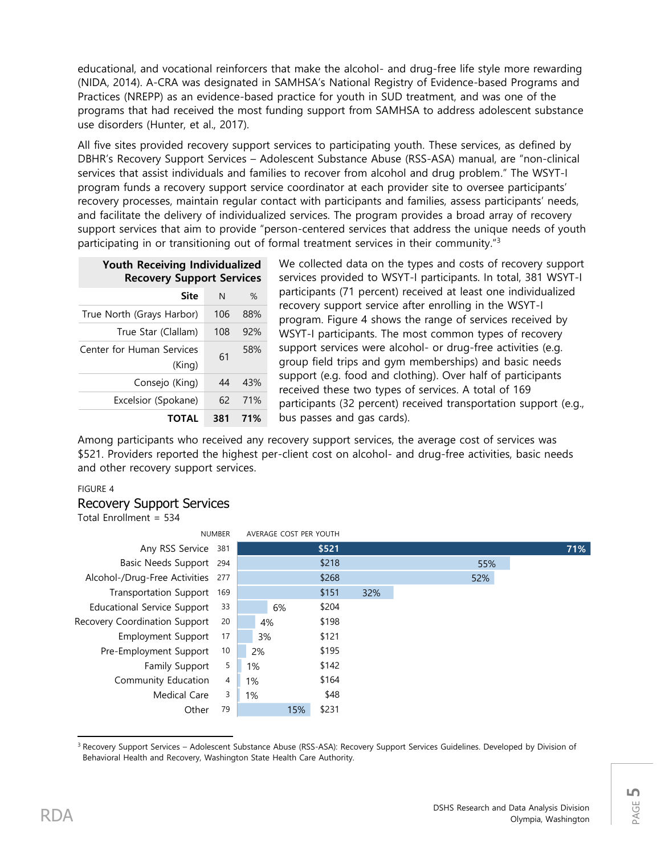educational, and vocational reinforcers that make the alcohol- and drug-free life style more rewarding (NIDA, 2014). A-CRA was designated in SAMHSA's National Registry of Evidence-based Programs and Practices (NREPP) as an evidence-based practice for youth in SUD treatment, and was one of the programs that had received the most funding support from SAMHSA to address adolescent substance use disorders (Hunter, et al., 2017).

All five sites provided recovery support services to participating youth. These services, as defined by DBHR's Recovery Support Services – Adolescent Substance Abuse (RSS-ASA) manual, are "non-clinical services that assist individuals and families to recover from alcohol and drug problem." The WSYT-I program funds a recovery support service coordinator at each provider site to oversee participants' recovery processes, maintain regular contact with participants and families, assess participants' needs, and facilitate the delivery of individualized services. The program provides a broad array of recovery support services that aim to provide "person-centered services that address the unique needs of youth participating in or transitioning out of formal treatment services in their community."<sup>3</sup>

| Youth Receiving Individualized<br><b>Recovery Support Services</b> |              |         |  |
|--------------------------------------------------------------------|--------------|---------|--|
| Site                                                               | <sup>N</sup> | $\%$    |  |
| True North (Grays Harbor)                                          |              | 106 88% |  |

| TOTAL                               | 381 | 71% |
|-------------------------------------|-----|-----|
| Excelsior (Spokane)                 | 62  | 71% |
| Consejo (King)                      | 44  | 43% |
| Center for Human Services<br>(King) | 61  | 58% |
| True Star (Clallam)                 | 108 | 92% |
|                                     |     |     |

We collected data on the types and costs of recovery support services provided to WSYT-I participants. In total, 381 WSYT-I participants (71 percent) received at least one individualized recovery support service after enrolling in the WSYT-I program. Figure 4 shows the range of services received by WSYT-I participants. The most common types of recovery support services were alcohol- or drug-free activities (e.g. group field trips and gym memberships) and basic needs support (e.g. food and clothing). Over half of participants received these two types of services. A total of 169 participants (32 percent) received transportation support (e.g., bus passes and gas cards).

Among participants who received any recovery support services, the average cost of services was \$521. Providers reported the highest per-client cost on alcohol- and drug-free activities, basic needs and other recovery support services.

### FIGURE 4

## Recovery Support Services

Total Enrollment = 534



 $\overline{\phantom{a}}$ <sup>3</sup> Recovery Support Services – Adolescent Substance Abuse (RSS-ASA): Recovery Support Services Guidelines. Developed by Division of Behavioral Health and Recovery, Washington State Health Care Authority.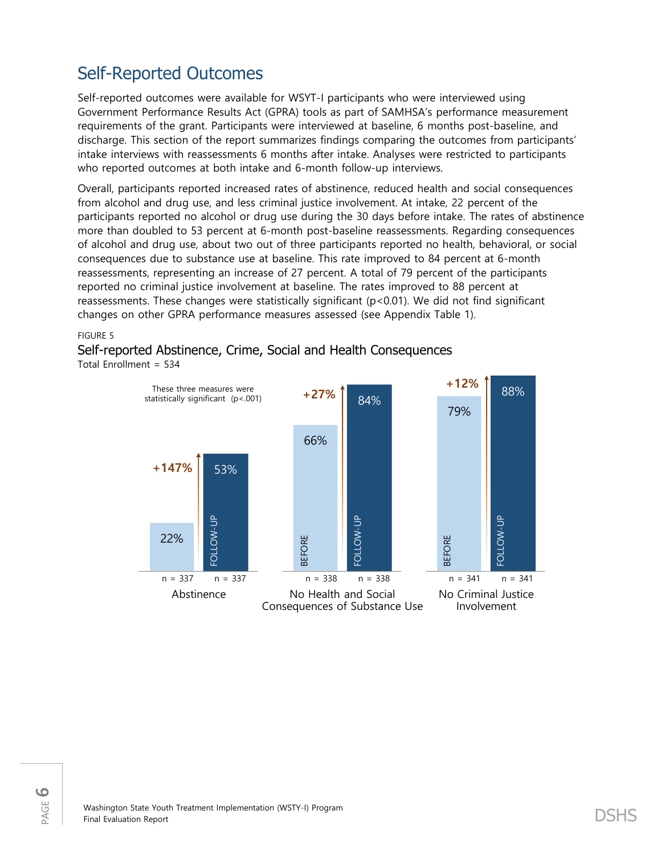# Self-Reported Outcomes

Self-reported outcomes were available for WSYT-I participants who were interviewed using Government Performance Results Act (GPRA) tools as part of SAMHSA's performance measurement requirements of the grant. Participants were interviewed at baseline, 6 months post-baseline, and discharge. This section of the report summarizes findings comparing the outcomes from participants' intake interviews with reassessments 6 months after intake. Analyses were restricted to participants who reported outcomes at both intake and 6-month follow-up interviews.

Overall, participants reported increased rates of abstinence, reduced health and social consequences from alcohol and drug use, and less criminal justice involvement. At intake, 22 percent of the participants reported no alcohol or drug use during the 30 days before intake. The rates of abstinence more than doubled to 53 percent at 6-month post-baseline reassessments. Regarding consequences of alcohol and drug use, about two out of three participants reported no health, behavioral, or social consequences due to substance use at baseline. This rate improved to 84 percent at 6-month reassessments, representing an increase of 27 percent. A total of 79 percent of the participants reported no criminal justice involvement at baseline. The rates improved to 88 percent at reassessments. These changes were statistically significant (p<0.01). We did not find significant changes on other GPRA performance measures assessed (see Appendix Table 1).

### FIGURE 5

# Self-reported Abstinence, Crime, Social and Health Consequences

Total Enrollment = 534

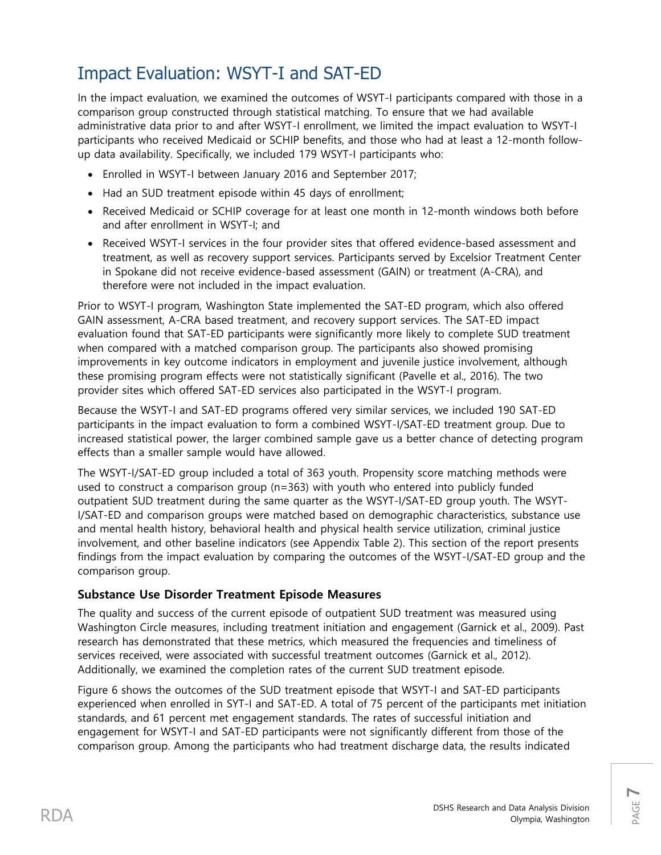# Impact Evaluation: WSYT-I and SAT-ED

In the impact evaluation, we examined the outcomes of WSYT-I participants compared with those in a comparison group constructed through statistical matching. To ensure that we had available administrative data prior to and after WSYT-I enrollment, we limited the impact evaluation to WSYT-I participants who received Medicaid or SCHIP benefits, and those who had at least a 12-month followup data availability. Specifically, we included 179 WSYT-I participants who:

- Enrolled in WSYT-I between January 2016 and September 2017;
- Had an SUD treatment episode within 45 days of enrollment;
- Received Medicaid or SCHIP coverage for at least one month in 12-month windows both before and after enrollment in WSYT-I; and
- Received WSYT-I services in the four provider sites that offered evidence-based assessment and treatment, as well as recovery support services. Participants served by Excelsior Treatment Center in Spokane did not receive evidence-based assessment (GAIN) or treatment (A-CRA), and therefore were not included in the impact evaluation.

Prior to WSYT-I program, Washington State implemented the SAT-ED program, which also offered GAIN assessment, A-CRA based treatment, and recovery support services. The SAT-ED impact evaluation found that SAT-ED participants were significantly more likely to complete SUD treatment when compared with a matched comparison group. The participants also showed promising improvements in key outcome indicators in employment and juvenile justice involvement, although these promising program effects were not statistically significant (Pavelle et al., 2016). The two provider sites which offered SAT-ED services also participated in the WSYT-I program.

Because the WSYT-I and SAT-ED programs offered very similar services, we included 190 SAT-ED participants in the impact evaluation to form a combined WSYT-I/SAT-ED treatment group. Due to increased statistical power, the larger combined sample gave us a better chance of detecting program effects than a smaller sample would have allowed.

The WSYT-I/SAT-ED group included a total of 363 youth. Propensity score matching methods were used to construct a comparison group (n=363) with youth who entered into publicly funded outpatient SUD treatment during the same quarter as the WSYT-I/SAT-ED group youth. The WSYT-I/SAT-ED and comparison groups were matched based on demographic characteristics, substance use and mental health history, behavioral health and physical health service utilization, criminal justice involvement, and other baseline indicators (see Appendix Table 2). This section of the report presents findings from the impact evaluation by comparing the outcomes of the WSYT-I/SAT-ED group and the comparison group.

# **Substance Use Disorder Treatment Episode Measures**

The quality and success of the current episode of outpatient SUD treatment was measured using Washington Circle measures, including treatment initiation and engagement (Garnick et al., 2009). Past research has demonstrated that these metrics, which measured the frequencies and timeliness of services received, were associated with successful treatment outcomes (Garnick et al., 2012). Additionally, we examined the completion rates of the current SUD treatment episode.

Figure 6 shows the outcomes of the SUD treatment episode that WSYT-I and SAT-ED participants experienced when enrolled in SYT-I and SAT-ED. A total of 75 percent of the participants met initiation standards, and 61 percent met engagement standards. The rates of successful initiation and engagement for WSYT-I and SAT-ED participants were not significantly different from those of the comparison group. Among the participants who had treatment discharge data, the results indicated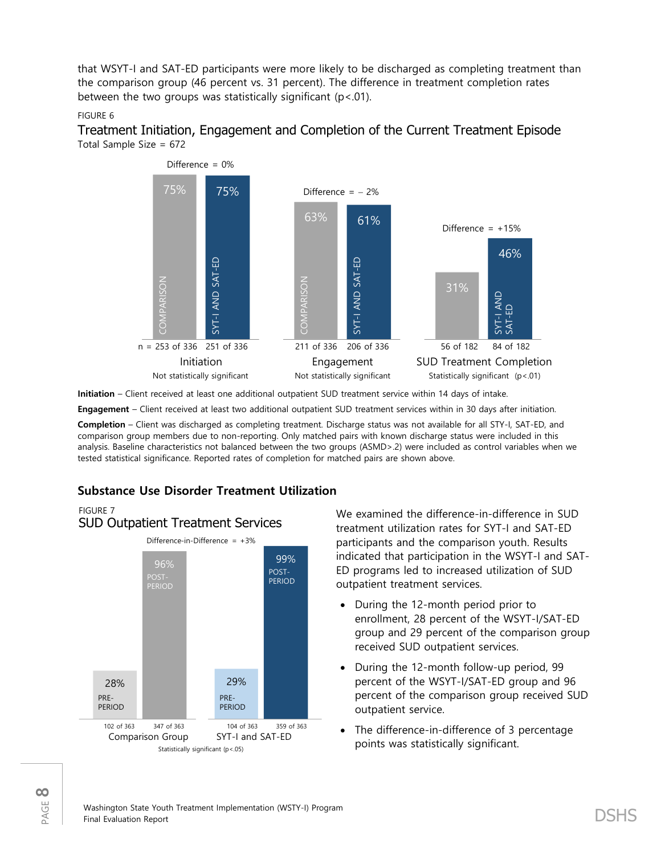that WSYT-I and SAT-ED participants were more likely to be discharged as completing treatment than the comparison group (46 percent vs. 31 percent). The difference in treatment completion rates between the two groups was statistically significant  $(p < 01)$ .

### FIGURE 6





**Initiation** – Client received at least one additional outpatient SUD treatment service within 14 days of intake.

**Engagement** – Client received at least two additional outpatient SUD treatment services within in 30 days after initiation.

**Completion** – Client was discharged as completing treatment. Discharge status was not available for all STY-I, SAT-ED, and comparison group members due to non-reporting. Only matched pairs with known discharge status were included in this analysis. Baseline characteristics not balanced between the two groups (ASMD>.2) were included as control variables when we tested statistical significance. Reported rates of completion for matched pairs are shown above.

# **Substance Use Disorder Treatment Utilization**



We examined the difference-in-difference in SUD treatment utilization rates for SYT-I and SAT-ED participants and the comparison youth. Results indicated that participation in the WSYT-I and SAT-ED programs led to increased utilization of SUD outpatient treatment services.

- During the 12-month period prior to enrollment, 28 percent of the WSYT-I/SAT-ED group and 29 percent of the comparison group received SUD outpatient services.
- During the 12-month follow-up period, 99 percent of the WSYT-I/SAT-ED group and 96 percent of the comparison group received SUD outpatient service.
- The difference-in-difference of 3 percentage points was statistically significant.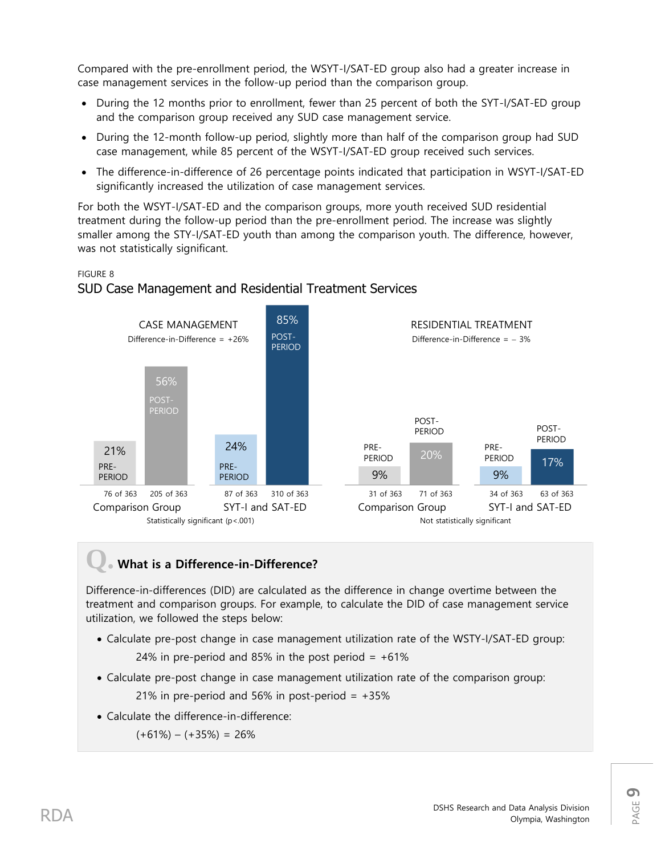Compared with the pre-enrollment period, the WSYT-I/SAT-ED group also had a greater increase in case management services in the follow-up period than the comparison group.

- During the 12 months prior to enrollment, fewer than 25 percent of both the SYT-I/SAT-ED group and the comparison group received any SUD case management service.
- During the 12-month follow-up period, slightly more than half of the comparison group had SUD case management, while 85 percent of the WSYT-I/SAT-ED group received such services.
- The difference-in-difference of 26 percentage points indicated that participation in WSYT-I/SAT-ED significantly increased the utilization of case management services.

For both the WSYT-I/SAT-ED and the comparison groups, more youth received SUD residential treatment during the follow-up period than the pre-enrollment period. The increase was slightly smaller among the STY-I/SAT-ED youth than among the comparison youth. The difference, however, was not statistically significant.

### FIGURE 8

# SUD Case Management and Residential Treatment Services



# **Q. What is a Difference-in-Difference?**

Difference-in-differences (DID) are calculated as the difference in change overtime between the treatment and comparison groups. For example, to calculate the DID of case management service utilization, we followed the steps below:

- Calculate pre-post change in case management utilization rate of the WSTY-I/SAT-ED group: 24% in pre-period and 85% in the post period  $= +61\%$
- Calculate pre-post change in case management utilization rate of the comparison group: 21% in pre-period and 56% in post-period  $= +35%$
- Calculate the difference-in-difference:

 $(+61\%) - (+35\%) = 26\%$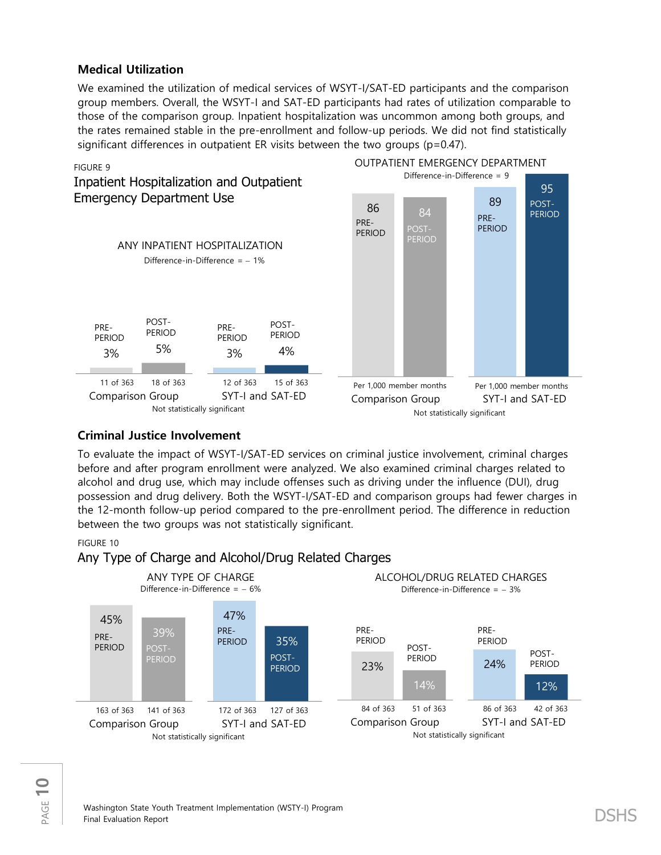## **Medical Utilization**

We examined the utilization of medical services of WSYT-I/SAT-ED participants and the comparison group members. Overall, the WSYT-I and SAT-ED participants had rates of utilization comparable to those of the comparison group. Inpatient hospitalization was uncommon among both groups, and the rates remained stable in the pre-enrollment and follow-up periods. We did not find statistically significant differences in outpatient ER visits between the two groups  $(p=0.47)$ .



# **Criminal Justice Involvement**

To evaluate the impact of WSYT-I/SAT-ED services on criminal justice involvement, criminal charges before and after program enrollment were analyzed. We also examined criminal charges related to alcohol and drug use, which may include offenses such as driving under the influence (DUI), drug possession and drug delivery. Both the WSYT-I/SAT-ED and comparison groups had fewer charges in the 12-month follow-up period compared to the pre-enrollment period. The difference in reduction between the two groups was not statistically significant.

### FIGURE 10

### Any Type of Charge and Alcohol/Drug Related Charges

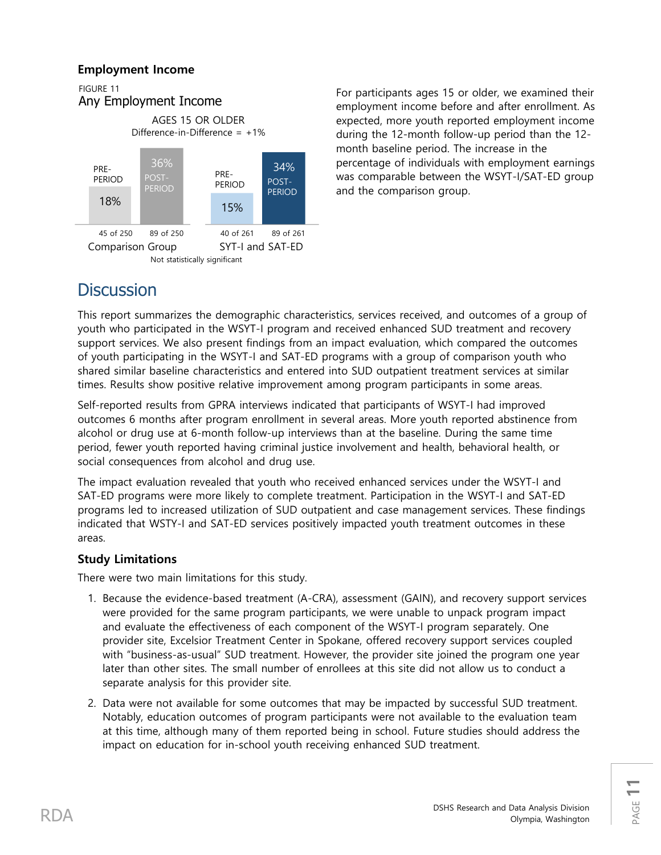# **Employment Income**



For participants ages 15 or older, we examined their employment income before and after enrollment. As expected, more youth reported employment income during the 12-month follow-up period than the 12 month baseline period. The increase in the percentage of individuals with employment earnings was comparable between the WSYT-I/SAT-ED group and the comparison group.

# **Discussion**

This report summarizes the demographic characteristics, services received, and outcomes of a group of youth who participated in the WSYT-I program and received enhanced SUD treatment and recovery support services. We also present findings from an impact evaluation, which compared the outcomes of youth participating in the WSYT-I and SAT-ED programs with a group of comparison youth who shared similar baseline characteristics and entered into SUD outpatient treatment services at similar times. Results show positive relative improvement among program participants in some areas.

Self-reported results from GPRA interviews indicated that participants of WSYT-I had improved outcomes 6 months after program enrollment in several areas. More youth reported abstinence from alcohol or drug use at 6-month follow-up interviews than at the baseline. During the same time period, fewer youth reported having criminal justice involvement and health, behavioral health, or social consequences from alcohol and drug use.

The impact evaluation revealed that youth who received enhanced services under the WSYT-I and SAT-ED programs were more likely to complete treatment. Participation in the WSYT-I and SAT-ED programs led to increased utilization of SUD outpatient and case management services. These findings indicated that WSTY-I and SAT-ED services positively impacted youth treatment outcomes in these areas.

# **Study Limitations**

There were two main limitations for this study.

- 1. Because the evidence-based treatment (A-CRA), assessment (GAIN), and recovery support services were provided for the same program participants, we were unable to unpack program impact and evaluate the effectiveness of each component of the WSYT-I program separately. One provider site, Excelsior Treatment Center in Spokane, offered recovery support services coupled with "business-as-usual" SUD treatment. However, the provider site joined the program one year later than other sites. The small number of enrollees at this site did not allow us to conduct a separate analysis for this provider site.
- 2. Data were not available for some outcomes that may be impacted by successful SUD treatment. Notably, education outcomes of program participants were not available to the evaluation team at this time, although many of them reported being in school. Future studies should address the impact on education for in-school youth receiving enhanced SUD treatment.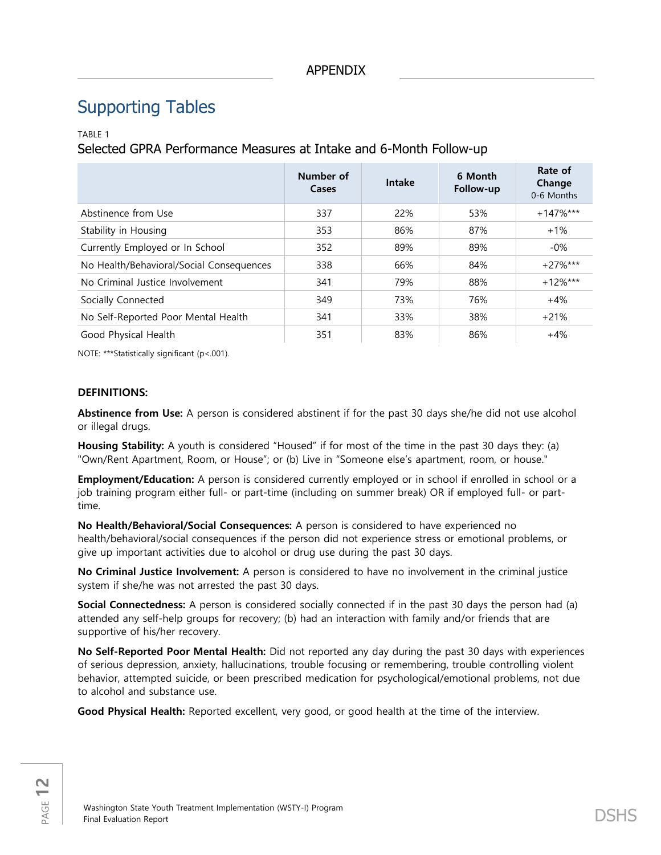# Supporting Tables

### TABLE 1

Selected GPRA Performance Measures at Intake and 6-Month Follow-up

|                                          | Number of<br>Cases | Intake | 6 Month<br>Follow-up | Rate of<br>Change<br>0-6 Months |
|------------------------------------------|--------------------|--------|----------------------|---------------------------------|
| Abstinence from Use                      | 337                | 22%    | 53%                  | $+147\%$ ***                    |
| Stability in Housing                     | 353                | 86%    | 87%                  | $+1\%$                          |
| Currently Employed or In School          | 352                | 89%    | 89%                  | $-0\%$                          |
| No Health/Behavioral/Social Consequences | 338                | 66%    | 84%                  | $+27\%***$                      |
| No Criminal Justice Involvement          | 341                | 79%    | 88%                  | $+12\%$ ***                     |
| Socially Connected                       | 349                | 73%    | 76%                  | $+4%$                           |
| No Self-Reported Poor Mental Health      | 341                | 33%    | 38%                  | $+21%$                          |
| Good Physical Health                     | 351                | 83%    | 86%                  | $+4%$                           |

NOTE: \*\*\*Statistically significant (p<.001).

### **DEFINITIONS:**

**Abstinence from Use:** A person is considered abstinent if for the past 30 days she/he did not use alcohol or illegal drugs.

**Housing Stability:** A youth is considered "Housed" if for most of the time in the past 30 days they: (a) "Own/Rent Apartment, Room, or House"; or (b) Live in "Someone else's apartment, room, or house."

**Employment/Education:** A person is considered currently employed or in school if enrolled in school or a job training program either full- or part-time (including on summer break) OR if employed full- or parttime.

**No Health/Behavioral/Social Consequences:** A person is considered to have experienced no health/behavioral/social consequences if the person did not experience stress or emotional problems, or give up important activities due to alcohol or drug use during the past 30 days.

**No Criminal Justice Involvement:** A person is considered to have no involvement in the criminal justice system if she/he was not arrested the past 30 days.

**Social Connectedness:** A person is considered socially connected if in the past 30 days the person had (a) attended any self-help groups for recovery; (b) had an interaction with family and/or friends that are supportive of his/her recovery.

**No Self-Reported Poor Mental Health:** Did not reported any day during the past 30 days with experiences of serious depression, anxiety, hallucinations, trouble focusing or remembering, trouble controlling violent behavior, attempted suicide, or been prescribed medication for psychological/emotional problems, not due to alcohol and substance use.

**Good Physical Health:** Reported excellent, very good, or good health at the time of the interview.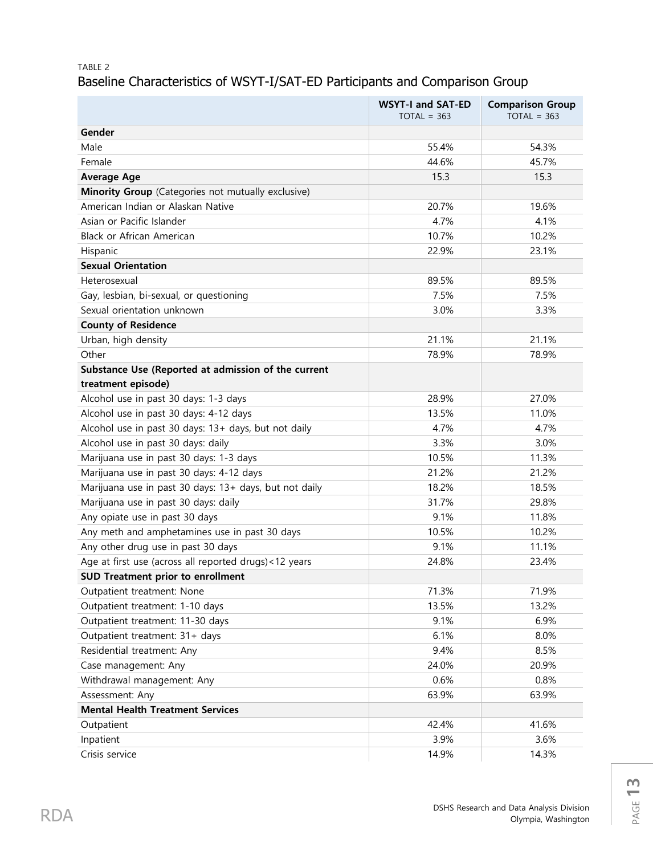# TABLE 2 Baseline Characteristics of WSYT-I/SAT-ED Participants and Comparison Group

|                                                        | <b>WSYT-I and SAT-ED</b><br>$TOTAL = 363$ | <b>Comparison Group</b><br>$TOTAL = 363$ |
|--------------------------------------------------------|-------------------------------------------|------------------------------------------|
| Gender                                                 |                                           |                                          |
| Male                                                   | 55.4%                                     | 54.3%                                    |
| Female                                                 | 44.6%                                     | 45.7%                                    |
| <b>Average Age</b>                                     | 15.3                                      | 15.3                                     |
| Minority Group (Categories not mutually exclusive)     |                                           |                                          |
| American Indian or Alaskan Native                      | 20.7%                                     | 19.6%                                    |
| Asian or Pacific Islander                              | 4.7%                                      | 4.1%                                     |
| Black or African American                              | 10.7%                                     | 10.2%                                    |
| Hispanic                                               | 22.9%                                     | 23.1%                                    |
| <b>Sexual Orientation</b>                              |                                           |                                          |
| Heterosexual                                           | 89.5%                                     | 89.5%                                    |
| Gay, lesbian, bi-sexual, or questioning                | 7.5%                                      | 7.5%                                     |
| Sexual orientation unknown                             | 3.0%                                      | 3.3%                                     |
| <b>County of Residence</b>                             |                                           |                                          |
| Urban, high density                                    | 21.1%                                     | 21.1%                                    |
| Other                                                  | 78.9%                                     | 78.9%                                    |
| Substance Use (Reported at admission of the current    |                                           |                                          |
| treatment episode)                                     |                                           |                                          |
| Alcohol use in past 30 days: 1-3 days                  | 28.9%                                     | 27.0%                                    |
| Alcohol use in past 30 days: 4-12 days                 | 13.5%                                     | 11.0%                                    |
| Alcohol use in past 30 days: 13+ days, but not daily   | 4.7%                                      | 4.7%                                     |
| Alcohol use in past 30 days: daily                     | 3.3%                                      | 3.0%                                     |
| Marijuana use in past 30 days: 1-3 days                | 10.5%                                     | 11.3%                                    |
| Marijuana use in past 30 days: 4-12 days               | 21.2%                                     | 21.2%                                    |
| Marijuana use in past 30 days: 13+ days, but not daily | 18.2%                                     | 18.5%                                    |
| Marijuana use in past 30 days: daily                   | 31.7%                                     | 29.8%                                    |
| Any opiate use in past 30 days                         | 9.1%                                      | 11.8%                                    |
| Any meth and amphetamines use in past 30 days          | 10.5%                                     | 10.2%                                    |
| Any other drug use in past 30 days                     | 9.1%                                      | 11.1%                                    |
| Age at first use (across all reported drugs)<12 years  | 24.8%                                     | 23.4%                                    |
| <b>SUD Treatment prior to enrollment</b>               |                                           |                                          |
| Outpatient treatment: None                             | 71.3%                                     | 71.9%                                    |
| Outpatient treatment: 1-10 days                        | 13.5%                                     | 13.2%                                    |
| Outpatient treatment: 11-30 days                       | 9.1%                                      | 6.9%                                     |
| Outpatient treatment: 31+ days                         | 6.1%                                      | 8.0%                                     |
| Residential treatment: Any                             | 9.4%                                      | 8.5%                                     |
| Case management: Any                                   | 24.0%                                     | 20.9%                                    |
| Withdrawal management: Any                             | 0.6%                                      | 0.8%                                     |
| Assessment: Any                                        | 63.9%                                     | 63.9%                                    |
| <b>Mental Health Treatment Services</b>                |                                           |                                          |
| Outpatient                                             | 42.4%                                     | 41.6%                                    |
| Inpatient                                              | 3.9%                                      | 3.6%                                     |
| Crisis service                                         | 14.9%                                     | 14.3%                                    |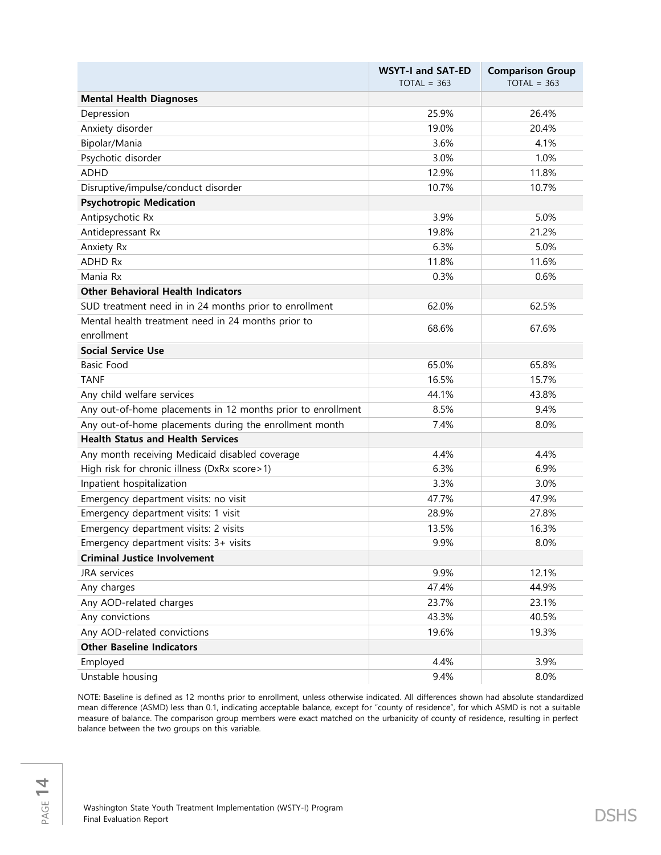|                                                             | <b>WSYT-I and SAT-ED</b><br>$TOTAL = 363$ | <b>Comparison Group</b><br>$TOTAL = 363$ |
|-------------------------------------------------------------|-------------------------------------------|------------------------------------------|
| <b>Mental Health Diagnoses</b>                              |                                           |                                          |
| Depression                                                  | 25.9%                                     | 26.4%                                    |
| Anxiety disorder                                            | 19.0%                                     | 20.4%                                    |
| Bipolar/Mania                                               | 3.6%                                      | 4.1%                                     |
| Psychotic disorder                                          | 3.0%                                      | 1.0%                                     |
| <b>ADHD</b>                                                 | 12.9%                                     | 11.8%                                    |
| Disruptive/impulse/conduct disorder                         | 10.7%                                     | 10.7%                                    |
| <b>Psychotropic Medication</b>                              |                                           |                                          |
| Antipsychotic Rx                                            | 3.9%                                      | 5.0%                                     |
| Antidepressant Rx                                           | 19.8%                                     | 21.2%                                    |
| Anxiety Rx                                                  | 6.3%                                      | 5.0%                                     |
| <b>ADHD Rx</b>                                              | 11.8%                                     | 11.6%                                    |
| Mania Rx                                                    | 0.3%                                      | 0.6%                                     |
| <b>Other Behavioral Health Indicators</b>                   |                                           |                                          |
| SUD treatment need in in 24 months prior to enrollment      | 62.0%                                     | 62.5%                                    |
| Mental health treatment need in 24 months prior to          | 68.6%                                     | 67.6%                                    |
| enrollment                                                  |                                           |                                          |
| <b>Social Service Use</b>                                   |                                           |                                          |
| <b>Basic Food</b>                                           | 65.0%                                     | 65.8%                                    |
| <b>TANF</b>                                                 | 16.5%                                     | 15.7%                                    |
| Any child welfare services                                  | 44.1%                                     | 43.8%                                    |
| Any out-of-home placements in 12 months prior to enrollment | 8.5%                                      | 9.4%                                     |
| Any out-of-home placements during the enrollment month      | 7.4%                                      | 8.0%                                     |
| <b>Health Status and Health Services</b>                    |                                           |                                          |
| Any month receiving Medicaid disabled coverage              | 4.4%                                      | 4.4%                                     |
| High risk for chronic illness (DxRx score>1)                | 6.3%                                      | 6.9%                                     |
| Inpatient hospitalization                                   | 3.3%                                      | 3.0%                                     |
| Emergency department visits: no visit                       | 47.7%                                     | 47.9%                                    |
| Emergency department visits: 1 visit                        | 28.9%                                     | 27.8%                                    |
| Emergency department visits: 2 visits                       | 13.5%                                     | 16.3%                                    |
| Emergency department visits: 3+ visits                      | 9.9%                                      | 8.0%                                     |
| <b>Criminal Justice Involvement</b>                         |                                           |                                          |
| JRA services                                                | 9.9%                                      | 12.1%                                    |
| Any charges                                                 | 47.4%                                     | 44.9%                                    |
| Any AOD-related charges                                     | 23.7%                                     | 23.1%                                    |
| Any convictions                                             | 43.3%                                     | 40.5%                                    |
| Any AOD-related convictions                                 | 19.6%                                     | 19.3%                                    |
| <b>Other Baseline Indicators</b>                            |                                           |                                          |
| Employed                                                    | 4.4%                                      | 3.9%                                     |
| Unstable housing                                            | 9.4%                                      | 8.0%                                     |

NOTE: Baseline is defined as 12 months prior to enrollment, unless otherwise indicated. All differences shown had absolute standardized mean difference (ASMD) less than 0.1, indicating acceptable balance, except for "county of residence", for which ASMD is not a suitable measure of balance. The comparison group members were exact matched on the urbanicity of county of residence, resulting in perfect balance between the two groups on this variable.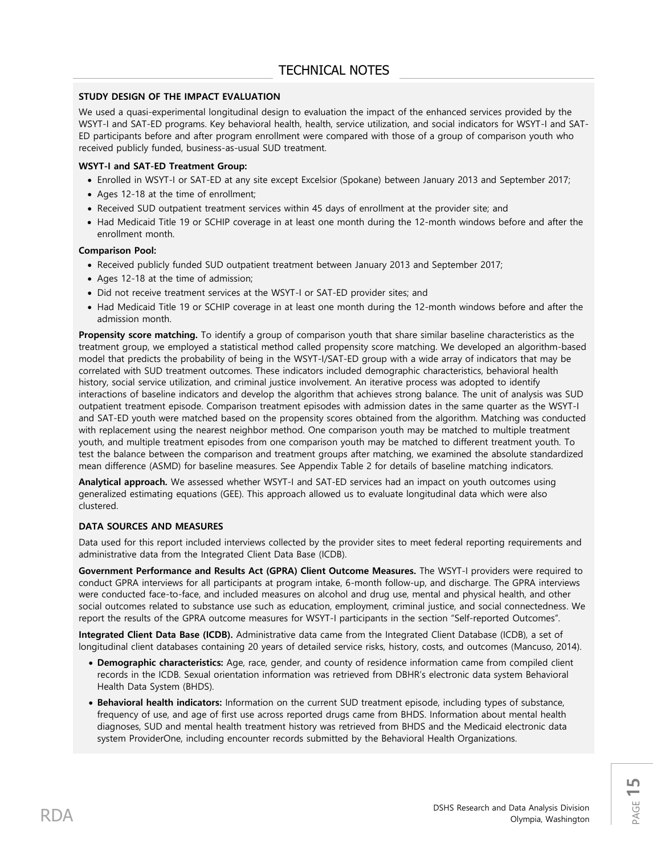### **STUDY DESIGN OF THE IMPACT EVALUATION**

We used a quasi-experimental longitudinal design to evaluation the impact of the enhanced services provided by the WSYT-I and SAT-ED programs. Key behavioral health, health, service utilization, and social indicators for WSYT-I and SAT-ED participants before and after program enrollment were compared with those of a group of comparison youth who received publicly funded, business-as-usual SUD treatment.

### **WSYT-I and SAT-ED Treatment Group:**

- Enrolled in WSYT-I or SAT-ED at any site except Excelsior (Spokane) between January 2013 and September 2017;
- Ages 12-18 at the time of enrollment;
- Received SUD outpatient treatment services within 45 days of enrollment at the provider site; and
- Had Medicaid Title 19 or SCHIP coverage in at least one month during the 12-month windows before and after the enrollment month.

#### **Comparison Pool:**

- Received publicly funded SUD outpatient treatment between January 2013 and September 2017;
- Ages 12-18 at the time of admission;
- Did not receive treatment services at the WSYT-I or SAT-ED provider sites; and
- Had Medicaid Title 19 or SCHIP coverage in at least one month during the 12-month windows before and after the admission month.

**Propensity score matching.** To identify a group of comparison youth that share similar baseline characteristics as the treatment group, we employed a statistical method called propensity score matching. We developed an algorithm-based model that predicts the probability of being in the WSYT-I/SAT-ED group with a wide array of indicators that may be correlated with SUD treatment outcomes. These indicators included demographic characteristics, behavioral health history, social service utilization, and criminal justice involvement. An iterative process was adopted to identify interactions of baseline indicators and develop the algorithm that achieves strong balance. The unit of analysis was SUD outpatient treatment episode. Comparison treatment episodes with admission dates in the same quarter as the WSYT-I and SAT-ED youth were matched based on the propensity scores obtained from the algorithm. Matching was conducted with replacement using the nearest neighbor method. One comparison youth may be matched to multiple treatment youth, and multiple treatment episodes from one comparison youth may be matched to different treatment youth. To test the balance between the comparison and treatment groups after matching, we examined the absolute standardized mean difference (ASMD) for baseline measures. See Appendix Table 2 for details of baseline matching indicators.

**Analytical approach.** We assessed whether WSYT-I and SAT-ED services had an impact on youth outcomes using generalized estimating equations (GEE). This approach allowed us to evaluate longitudinal data which were also clustered.

#### **DATA SOURCES AND MEASURES**

Data used for this report included interviews collected by the provider sites to meet federal reporting requirements and administrative data from the Integrated Client Data Base (ICDB).

**Government Performance and Results Act (GPRA) Client Outcome Measures.** The WSYT-I providers were required to conduct GPRA interviews for all participants at program intake, 6-month follow-up, and discharge. The GPRA interviews were conducted face-to-face, and included measures on alcohol and drug use, mental and physical health, and other social outcomes related to substance use such as education, employment, criminal justice, and social connectedness. We report the results of the GPRA outcome measures for WSYT-I participants in the section "Self-reported Outcomes".

**Integrated Client Data Base (ICDB).** Administrative data came from the Integrated Client Database (ICDB), a set of longitudinal client databases containing 20 years of detailed service risks, history, costs, and outcomes (Mancuso, 2014).

- **Demographic characteristics:** Age, race, gender, and county of residence information came from compiled client records in the ICDB. Sexual orientation information was retrieved from DBHR's electronic data system Behavioral Health Data System (BHDS).
- **Behavioral health indicators:** Information on the current SUD treatment episode, including types of substance, frequency of use, and age of first use across reported drugs came from BHDS. Information about mental health diagnoses, SUD and mental health treatment history was retrieved from BHDS and the Medicaid electronic data system ProviderOne, including encounter records submitted by the Behavioral Health Organizations.